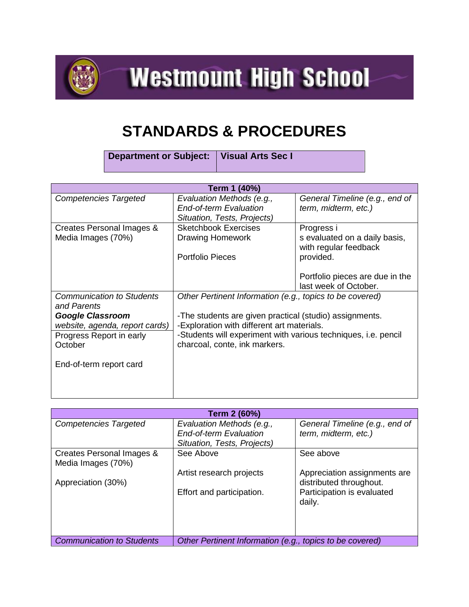

**Westmount High School** 

## **STANDARDS & PROCEDURES**

**Department or Subject: Visual Arts Sec I**

| Term 1 (40%)                                    |                                                                       |                                                        |  |  |
|-------------------------------------------------|-----------------------------------------------------------------------|--------------------------------------------------------|--|--|
| <b>Competencies Targeted</b>                    | Evaluation Methods (e.g.,                                             | General Timeline (e.g., end of                         |  |  |
|                                                 | <b>End-of-term Evaluation</b><br>Situation, Tests, Projects)          | term, midterm, etc.)                                   |  |  |
| Creates Personal Images &                       | <b>Sketchbook Exercises</b>                                           | Progress i                                             |  |  |
| Media Images (70%)                              | <b>Drawing Homework</b>                                               | s evaluated on a daily basis,<br>with regular feedback |  |  |
|                                                 | <b>Portfolio Pieces</b>                                               | provided.                                              |  |  |
|                                                 |                                                                       | Portfolio pieces are due in the                        |  |  |
|                                                 |                                                                       | last week of October.                                  |  |  |
| <b>Communication to Students</b><br>and Parents | Other Pertinent Information (e.g., topics to be covered)              |                                                        |  |  |
| <b>Google Classroom</b>                         | -The students are given practical (studio) assignments.               |                                                        |  |  |
| website, agenda, report cards)                  | -Exploration with different art materials.                            |                                                        |  |  |
| Progress Report in early                        | -Students will experiment with various techniques, <i>i.e.</i> pencil |                                                        |  |  |
| October                                         | charcoal, conte, ink markers.                                         |                                                        |  |  |
| End-of-term report card                         |                                                                       |                                                        |  |  |
|                                                 |                                                                       |                                                        |  |  |
|                                                 |                                                                       |                                                        |  |  |

| Term 2 (60%)                     |                                                          |                                |  |  |
|----------------------------------|----------------------------------------------------------|--------------------------------|--|--|
| <b>Competencies Targeted</b>     | Evaluation Methods (e.g.,                                | General Timeline (e.g., end of |  |  |
|                                  | <b>End-of-term Evaluation</b>                            | term, midterm, etc.)           |  |  |
|                                  | Situation, Tests, Projects)                              |                                |  |  |
| Creates Personal Images &        | See Above                                                | See above                      |  |  |
| Media Images (70%)               |                                                          |                                |  |  |
|                                  | Artist research projects                                 | Appreciation assignments are   |  |  |
| Appreciation (30%)               |                                                          | distributed throughout.        |  |  |
|                                  | Effort and participation.                                | Participation is evaluated     |  |  |
|                                  |                                                          | daily.                         |  |  |
|                                  |                                                          |                                |  |  |
|                                  |                                                          |                                |  |  |
|                                  |                                                          |                                |  |  |
| <b>Communication to Students</b> | Other Pertinent Information (e.g., topics to be covered) |                                |  |  |